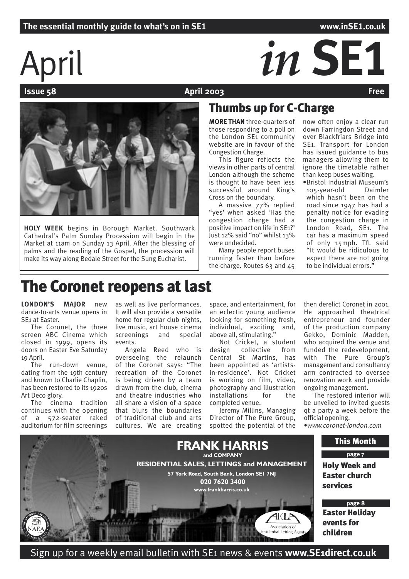# April *in* **SE1**

**April 2003** 



**HOLY WEEK** begins in Borough Market. Southwark Cathedral's Palm Sunday Procession will begin in the Market at 11am on Sunday 13 April. After the blessing of palms and the reading of the Gospel, the procession will make its way along Bedale Street for the Sung Eucharist.

# Thumbs up for C-Charge

**MORE THAN** three-quarters of those responding to a poll on the London SE1 community website are in favour of the Congestion Charge.

This figure reflects the views in other parts of central London although the scheme is thought to have been less successful around King's Cross on the boundary.

A massive 77% replied "yes' when asked 'Has the congestion charge had a positive impact on life in SE1?' Just 12% said "no" whilst 13% were undecided.

Many people report buses running faster than before the charge. Routes 63 and 45

now often enjoy a clear run down Farringdon Street and over Blackfriars Bridge into SE1. Transport for London has issued guidance to bus managers allowing them to ignore the timetable rather than keep buses waiting.

•Bristol Industrial Museum's 105-year-old Daimler which hasn't been on the road since 1947 has had a penalty notice for evading the congestion charge in London Road, SE1. The car has a maximum speed of only 15mph. TfL said "It would be ridiculous to expect there are not going to be individual errors.'

# The Coronet reopens at last

**LONDON'S MAJOR** new dance-to-arts venue opens in SE1 at Easter.

The Coronet, the three screen ABC Cinema which closed in 1999, opens its doors on Easter Eve Saturday 19 April.

The run-down venue, dating from the 19th century and known to Charlie Chaplin, has been restored to its 1920s Art Deco glory.

The cinema tradition continues with the opening of a 572-seater raked auditorium for film screenings

as well as live performances. It will also provide a versatile home for regular club nights, live music, art house cinema screenings and special events.

Angela Reed who is overseeing the relaunch of the Coronet says: "The recreation of the Coronet is being driven by a team drawn from the club, cinema and theatre industries who all share a vision of a space that blurs the boundaries of traditional club and arts cultures. We are creating

space, and entertainment, for an eclectic young audience looking for something fresh, individual, exciting and, above all, stimulating."

Not Cricket, a student<br>design collective from collective from Central St Martins, has been appointed as 'artistsin-residence'. Not Cricket is working on film, video, photography and illustration installations for the completed venue.

Jeremy Millins, Managing Director of The Pure Group, spotted the potential of the

then derelict Coronet in 2001. He approached theatrical entrepreneur and founder of the production company Gekko, Dominic Madden, who acquired the venue and funded the redevelopment, with The Pure Group's management and consultancy arm contracted to oversee renovation work and provide ongoing management.

The restored interior will be unveiled to invited guests qt a party a week before the official opening.

•*www.coronet-london.com*



Sign up for a weekly email bulletin with SE1 news & events **www.SE1direct.co.uk**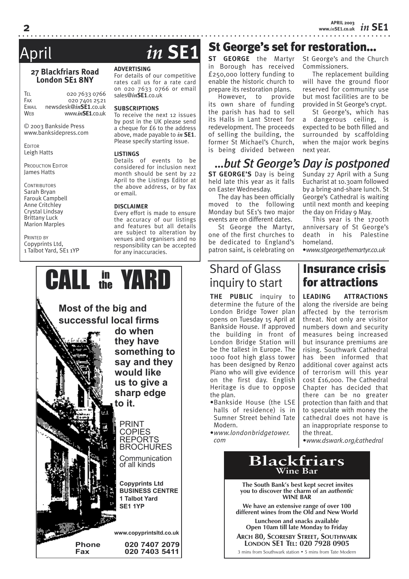# April *in* **SE1**

### **27 Blackfriars Road London SE1 8NY**

TEL 020 7633 0766<br>Fax 020 7401 2521  $020\,7401\,2521$ EMAIL newsdesk@*in***SE1**.co.uk WEB www.*in***SE1**.co.uk

© 2003 Bankside Press www.banksidepress.com

**EDITOR** Leigh Hatts

PRODUCTION EDITOR James Hatts

**CONTRIBUTORS** Sarah Bryan Farouk Campbell Anne Critchley Crystal Lindsay Brittany Luck Marion Marples

PRINTED BY Copyprints Ltd, 1 Talbot Yard, SE1 1YP

### **ADVERTISING**

For details of our competitive rates call us for a rate card on 020 7633 0766 or email sales@*in***SE1**.co.uk

#### **SUBSCRIPTIONS**

To receive the next 12 issues by post in the UK please send a cheque for £6 to the address above, made payable to *in* **SE1**. Please specify starting issue.

#### **LISTINGS**

Details of events to be considered for inclusion next month should be sent by 22 April to the Listings Editor at the above address, or by fax or email.

#### **DISCLAIMER**

Every effort is made to ensure the accuracy of our listings and features but all details are subject to alteration by venues and organisers and no responsibility can be accepted for any inaccuracies.



**ST GEORGE** the Martyr in Borough has received £250,000 lottery funding to enable the historic church to prepare its restoration plans.

However, to provide its own share of funding the parish has had to sell its Halls in Lant Street for redevelopment. The proceeds of selling the building, the former St Michael's Church, is being divided between St George's and the Church Commissioners.

The replacement building will have the ground floor reserved for community use but most facilities are to be provided in St George's crypt.

St George's, which has a dangerous ceiling, is expected to be both filled and surrounded by scaffolding when the major work begins next year.

# *…but St George's Day is postponed*

St George's set for restoration…

**ST GEORGE'S** Day is being held late this year as it falls on Easter Wednesday.

The day has been officially moved to the following Monday but SE1's two major events are on different dates.

St George the Martyr, one of the first churches to be dedicated to England's patron saint, is celebrating on

# Shard of Glass inquiry to start

**THE PUBLIC** inquiry to determine the future of the London Bridge Tower plan opens on Tuesday 15 April at Bankside House. If approved the building in front of London Bridge Station will be the tallest in Europe. The 1000 foot high glass tower has been designed by Renzo Piano who will give evidence on the first day. English Heritage is due to oppose the plan.

- •Bankside House (the LSE halls of residence) is in Sumner Street behind Tate Modern.
- •*www.londonbridgetower. com*

#### Sunday 27 April with a Sung Eucharist at 10.30am followed by a bring-and-share lunch. St George's Cathedral is waiting until next month and keeping the day on Friday 9 May.

This year is the 1700th anniversary of St George's death in his Palestine homeland.

•*www.stgeorgethemartyr.co.uk*

# Insurance crisis for attractions

**LEADING ATTRACTIONS** along the riverside are being affected by the terrorism threat. Not only are visitor numbers down and security measures being increased but insurance premiums are rising. Southwark Cathedral has been informed that additional cover against acts of terrorism will this year cost £16,000. The Cathedral Chapter has decided that there can be no greater protection than faith and that to speculate with money the cathedral does not have is an inappropriate response to the threat.

•*www.dswark.org/cathedral*

# **Blackfriars Wine Bar**

 **The South Bank's best kept secret invites you to discover the charm of an** *authentic* **WINE BAR**

**We have an extensive range of over 100 different wines from the Old and New World**

**Luncheon and snacks available Open 10am till late Monday to Friday**

**ARCH 80, SCORESBY STREET, SOUTHWARK LONDON SE1 TEL: 020 7928 0905**

3 mins from Southwark station • 5 mins from Tate Modern

**2**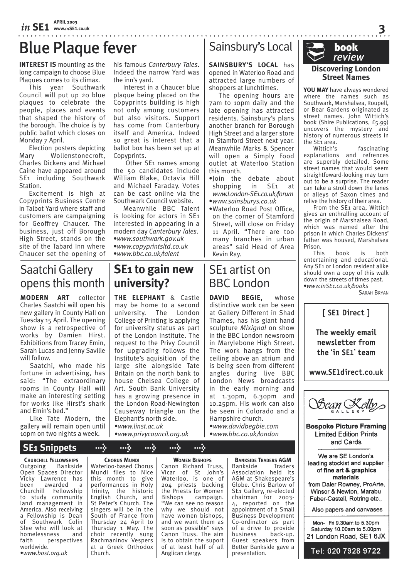# Blue Plaque fever

**INTEREST IS** mounting as the long campaign to choose Blue Plaques comes to its climax.

This year Southwark Council will put up 20 blue plaques to celebrate the people, places and events that shaped the history of the borough. The choice is by public ballot which closes on Monday 7 April.

Election posters depicting Mary Wollenstonecroft, Charles Dickens and Michael Caine have appeared around SE<sub>1</sub> including Southwark Station.

Excitement is high at Copyprints Business Centre in Talbot Yard where staff and customers are campaigning for Geoffrey Chaucer. The business, just off Borough High Street, stands on the site of the Tabard Inn where Chaucer set the opening of his famous *Canterbury Tales*. Indeed the narrow Yard was the inn's yard.

. . . . . . . . . . . . . . . . . . .

Interest in a Chaucer blue plaque being placed on the Copyprints building is high not only among customers but also visitors. Support has come from Canterbury itself and America. Indeed so great is interest that a ballot box has been set up at Copyprints.

 Other SE1 names among the 50 candidates include William Blake, Octavia Hill and Michael Faraday. Votes can be cast online via the Southwark Council website.

Meanwhile BBC Talent is looking for actors in SE1 interested in appearing in a modern day *Canterbury Tales*. •*www.southwark.gov.uk* •*www.copyprintsltd.co.uk* •*www.bbc.co.uk/talent*

# Saatchi Gallery opens this month

**MODERN ART** collector Charles Saatchi will open his new gallery in County Hall on Tuesday 15 April. The opening show is a retrospective of works by Damien Hirst. Exhibitions from Tracey Emin, Sarah Lucas and Jenny Saville will follow.

Saatchi, who made his fortune in advertising, has said: "The extraordinary rooms in County Hall will make an interesting setting for works like Hirst's shark and Emin's bed."

Like Tate Modern, the gallery will remain open until 10pm on two nights a week.

# **SE1 to gain new university?**

**THE ELEPHANT** & Castle may be home to a second university. The London College of Printing is applying for university status as part of the London Institute. The request to the Privy Council for upgrading follows the Institute's aquisition of the large site alongside Tate Britain on the north bank to house Chelsea College of Art. South Bank University has a growing presence in the London Road-Newington Causeway triangle on the Elephant's north side. •*www.linst.ac.uk* •*www.privycouncil.org.uk*

# Sainsbury's Local

**SAINSBURY'S LOCAL** has opened in Waterloo Road and attracted large numbers of shoppers at lunchtimes.

The opening hours are 7am to 10pm daily and the late opening has attracted residents. Sainsbury's plans another branch for Borough High Street and a larger store in Stamford Street next year. Meanwhile Marks & Spencer will open a Simply Food outlet at Waterloo Station this month.

•Join the debate about shopping in SE1 at *www.London-SE1.co.uk/forum*

- •*www.sainsburys.co.uk* •Waterloo Road Post Office,
- on the corner of Stamford Street, will close on Friday 11 April. "There are too many branches in urban areas" said Head of Area Kevin Ray.

# SE1 artist on BBC London

**DAVID BEGIE,** whose distinctive work can be seen at Gallery Different in Shad Thames, has his giant hand sculpture *Mixignal* on show in the BBC London newsroom in Marylebone High Street. The work hangs from the ceiling above an atrium and is being seen from different angles during live BBC London News broadcasts in the early morning and at 1.30pm, 6.30pm and 10.25pm. His work can also be seen in Colorado and a Hampshire church.

•*www.davidbegbie.com* •*www.bbc.co.uk/london*

> **BANKSIDE TRADERS AGM** Bankside Traders Association held its AGM at Shakespeare's Globe. Chris Barlow of SE1 Gallery, re-elected chairman for 2003- 4, reported on the appointment of a Small Business Development Co-ordinator as part of a drive to provide business back-up. Guest speakers from Better Bankside gave a presentation.



**3**

**YOU MAY** have always wondered where the names such as Southwark, Marshalsea, Roupell, or Bear Gardens originated as street names. John Wittich's book (Shire Publications, £5.99) uncovers the mystery and history of numerous streets in the SE<sub>1</sub> area.<br>Wittich's

fascinating explanations and refrences are superbly detailed. Some street names that would seem straightfoward-looking may turn out to be a surprise. The reader can take a stroll down the lanes or alleys of Saxon times and relive the history of their area.

From the SE1 area, Wittich gives an enthralling account of the origin of Marshalsea Road, which was named after the prison in which Charles Dickens' father was housed, Marshalsea Prison.<br>This

book is both entertaining and educational. Any SE1 or London resident alike should own a copy of this walk down the streets of times past. •*www.inSE1.co.uk/books*

SARAH BRYAN







**Bespoke Picture Framing Limited Edition Prints** and Cards

We are SE London's leading stockist and supplier of fine art & graphics materials from Daler Rowney, ProArte, Winsor & Newton, Marabu Faber-Castell, Rotring etc.,

Also papers and canvases

Mon- Fri 9.30am to 5.30pm Saturday 10.00am to 5.00pm 21 London Road, SE1 6JX

Tel: 020 7928 9722

 **SE1 Snippets > > > > >**

**CHURCHILL FELLOWSHIPS** Outgoing Bankside Open Spaces Director Vicky Lawrence has been awarded a Churchill Fellowship to study community land management in America. Also receiving a Fellowship is Dean of Southwark Colin Slee who will look at homelessness and faith perspectives worldwide. •*www.bost.org.uk*

**CHORUS MUNDI**

Waterloo-based Chorus Mundi flies to Nice this month to give performances in Holy Trinity, the historic English Church, and St Peter's Church. The singers will be in the South of France from Thursday 24 April to Thursday 1 May. The choir recently sung Rachmaninov Vespers at a Greek Orthodox Church.

#### **WOMEN BISHOPS**

Canon Richard Truss, Vicar of St John's Waterloo, is one of 204 priests backing the Priests for Women Bishops campaign. "We can see no reason why we should not have women bishops, and we want them as soon as possible" says Canon Truss. The aim is to obtain the suport of at least half of all Anglican clergy.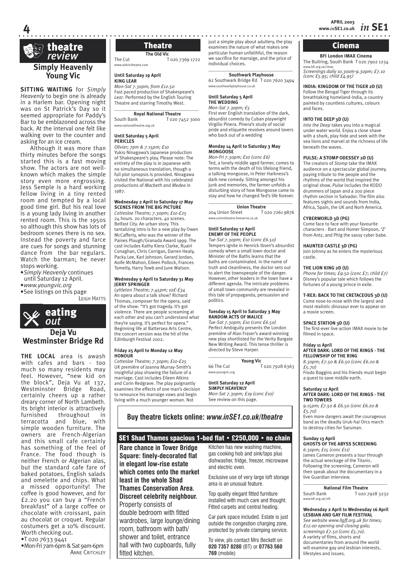

**4**

# **Young Vic**

**SITTING WAITING** for *Simply Heavenly* to begin one is already in a Harlem bar. Opening night was on St Patrick's Day so it seemed appropriate for Paddy's Bar to be emblazoned across the back. At the interval one felt like walking over to the counter and asking for an ice cream.

Although it was more than thirty minutes before the songs started this is a fast moving show. The actors are not wellknown which makes the simple story even more engrossing. Jess Semple is a hard working fellow living in a tiny rented room and tempted by a local good time girl. But his real love is a young lady living in another rented room. This is the 1950s so although this show has lots of bedroom scenes there is no sex. Instead the poverty and farce are cues for songs and stunning dance from the bar regulars. Watch the barman; he never stops working.

•*Simply Heavenly* continues

until Saturday 12 April.

•*www.youngvic.org*

•See listings on this page LEIGH HATTS



**THE LOCAL** area is awash with cafes and bars - too much so many residents may feel. However, "new kid on the block", Deja Vu at 137, Westminster Bridge Road, certainly cheers up a rather dreary corner of North Lambeth. Its bright interior is attractively furnished throughout in terracotta and blue, with simple wooden furniture. The owners are French-Algerian and this small cafe certainly has something of the feel of France. The food though is neither French or Algerian alas, but the standard cafe fare of baked potatoes, English salads and omelette and chips. What a missed opportunity! The coffee is good however, and for £2.20 you can buy a "French breakfast" of a large coffee or chocolate with croissant, pain au chocolat or croquet. Regular costumers get a 10% discount. Worth checking out.

•T 020 7633 9441

•Mon-Fri 7am-6pm & Sat 9am-6pm **ANNE CRITCHLEY** 

**The Old Vic** The Cut T 020 7369 1722 www.oldvictheatre.com

**Until Saturday 19 April KING LEAR**

*Mon-Sat 7.30pm; from £12.50* Fast paced production of Shakespeare's *Lear*. Performed by the English Touring Theatre and starring Timothy West.

#### $\overline{\phantom{a}}$  , and the set of the set of the set of the set of the set of the set of the set of the set of the set of the set of the set of the set of the set of the set of the set of the set of the set of the set of the s **Royal National Theatre**

South Bank T 020 7452 3000 ww.nationaltheatre.org.uk

#### **Until Saturday 5 April PERICLES**

*Olivier; 7pm & 7.15pm; £10* Yukio Ninagawa's Japanese production of Shakespeare's play. Please note: The entirety of the play is in Japanese with no simultaneous translation, though a full plot synopsis is provided. Ninagawa visited the National with his celebrated productions of *Macbeth* and *Medea* in .<br>1987.

#### **Wednesday 2 April to Saturday 17 May SCENES FROM THE BIG PICTURE**

*Cottesloe Theatre; 7.30pm; £10-£25* 24 hours. 20 characters. 40 scenes. Belfast City. An urban story. This tantalizing intro is for a new play by Owen McCafferty, who was the winner of the Paines Plough/Granada Award 1999. The cast includes Kathy Kiera Clarke, Ruairi Conaghan, Chris Corrigan, Darren Healy, Packy Lee, Karl Johnson, Gerard Jordan, Aoife McMahon, Eileen Pollock, Frances Tomelty, Harry Towb and June Watson.

#### **Wednesday 9 April to Saturday 31 May JERRY SPRINGER**

*Lyttleton Theatre; 7.45pm; 10£-£34* An opera about a talk show? Richard Thomas, composer for the opera, said of the show: "It's got tragedy. It's got violence. There are people screaming at each other and you can't understand what they're saying. It's perfect for opera.' arey te saying. It s perfect for opera.<br>Beginning life at Battersea Arts Centre. the concert version was the hit of the Edinburgh Festival 2002.

#### **Friday 25 April to Monday 12 May HONOUR**

*Cottesloe Theatre; 7.30pm; £10-£25* UK première of Joanna Murray-Smith's insightful play showing the failure of a marriage. Cast includes Eileen Atkins and Corin Redgrave. The play poignantly examines the effects of one man's decision to renounce his marraige vows and begin living with a much younger woman. Not

just a simple play about adultery, the play Theatre examines the nature of what makes one **Cinema** particular human unfaithful, the reason we sacrifice for marraige, and the price of individual choices.

#### \_\_\_\_\_\_\_\_\_\_\_\_\_\_\_\_\_\_\_\_\_\_\_\_\_\_\_\_\_\_\_\_\_\_\_ **Southwark Playhouse**

62 Southwark Bridge Rd T 020 7620 3494 www.southwarkplayhouse.co.uk

#### **Until Saturday 5 April THE WEDDING**

*Mon-Sat 7.30pm; £5* First ever English translation of the dark, absurdist comedy by Cuban playwright Virgilio Pinera. Pinera's study of social pride and etiquette revolves around lovers who back out of a wedding

#### **Monday 14 April to Saturday 3 May MONGOOSE**

*Mon-Fri 7.30pm; £10 (conc £6)* Ted, a lonely middle aged farmer, comes to terms with the death of his lifelong friend, a talking mongoose, in Peter Harkness's dark new comedy. Sitting amongst his junk and memories, the farmer unfolds a disturbing story of how Mongoose came to stay and how he changed Ted's life forever.  $\_$ 

**Union Theatre**<br>204 Union Street To T 020 7261 9876 www.<br>heatre.freeserve.co.uk

#### **Until Saturday 12 April ENEMY OF THE PEOPLE**

*Tue-Sat 7.30pm; £10 (conc £6.50)* Tempers ignite in Henrick Ibsen's absurdist comedy when a small town doctor and Minister of the Baths learns that the baths are contaminated. In the name of truth and cleanliness, the doctor sets out to alert the townspeople of the danger. However, other leaders in the town have a different agenda. The intricate problems of small town community are revealed in this tale of propaganda, persuasion and politics.

#### **Tuesday 15 April to Saturday 3 May RANDOM ACTS OF MALICE**

*Tue-Sat 7.30pm; £10 (conc £6.50)* Perfect Ambiguity presents the London première of Alan Fraser's award-winning new play shortlisted for the Verity Bargate New Writing Award. This tense thriller is directed by Steve Harper.  $\overline{\phantom{a}}$  , and the set of the set of the set of the set of the set of the set of the set of the set of the set of the set of the set of the set of the set of the set of the set of the set of the set of the set of the s

**Young Vic** 66 The Cut T 020 7928 6363 www.youngvic.org

# **Until Saturday 12 April**

**SIMPLY HEAVENLY**

*Mon-Sat 7.30pm; £19 (conc £10)* See review on this page.

# **Buy theatre tickets online:** *www.inSE1.co.uk/theatre*

#### SE1 Shad Thames spacious 1-bed flat • £250,000 • no chain

**Rare chance in Tower Bridge Square: finely-decorated flat in elegant low-rise estate which comes onto the market least in the whole Shad Thames Conservation Area. Discreet celebrity neighbour.** Property consists of double bedroom with fitted wardrobes, large lounge/dining room, bathroom with bath/ shower and toilet, entrance hall with two cupboards, fully

fitted kitchen.

Kitchen has new washing machine, gas cooking hob and sink/taps plus dishwasher, fridge, freezer, microwave and electric oven.

Exclusive use of very large loft storage area is an unusual feature.

Top quality elegant fitted furniture installed with much care and thought. Fitted carpets and central heating.

Car park space included. Estate is just outside the congestion charging zone, protected by private clamping service.

To view, pls contact Mrs Beckett on **020 7357 8280** (BT) or **07763 560 769** (mobile)

**BFI London IMAX Cinema** The Bullring, South Bank T 020 7902 1234  $w$ .bfi.org.uk $\overline{i}$ *Screenings daily 10.30am-9.30pm; £7.10 (conc £5.95; child £4.95)*

#### **INDIA: KINGDOM OF THE TIGER 2D (U)**

Follow the Bengal Tiger through its breathtaking homeland-India, a country painted by countless cultures, colours and faces.

#### **INTO THE DEEP 3D (U)**

*Into the Deep* takes you into a magical under water world. Enjoy a close shave with a shark, play hide and seek with the sea lions and marvel at the richness of life beneath the waves.

#### **PULSE: A STOMP ODESSEY 2D (U)**

The creators of *Stomp* take the IMAX audience on a spectacular global journey, paying tribute to the people and the rhythms of the world that inspired the original show. *Pulse* includes the KODO drummers of Japan and a 200 piece rhythm section in Salvador. The film also features sights and sounds from India, Africa, Spain, the UK and Norh America.

#### **CYBERWORLD 3D (PG)**

Come face to face with your favourite characters - Bart and Homer Simpson, 'Z' from Antz, and Phig the sassy cyber babe.

#### **HAUNTED CASTLE 3D (PG)**

Join Johnny as he enters the mysterious castle.

#### **THE LION KING 2D (U)**

*Phone for times; £9.50 (conc £7; child £7)* Disney's popular tale which follows the fortunes of a young prince in exile.

#### **T-REX: BACK TO THE CRETACEOUS 3D (U)**

Come nose-to-nose with the largest and most realistic dinosaur ever to appear on a movie screen.

#### **SPACE STATION 3D (U)**

STREE STATISH SE (S) filmed in space.

#### **Friday 11 April AFTER DARK: LORD OF THE RINGS - THE**

**FELLOWSHIP OF THE RING** *8.30pm; £7.50 & £6.50 (conc £6.20 & £5.70)*

Frodo Baggins and his friends must begin a quest to save middle earth.

### **Saturday 12 April**

**AFTER DARK: LORD OF THE RINGS - THE TWO TOWERS**

*9.15pm; £7.50 & £6.50 (conc £6.20 & £5.70)* Even more dangers await the courageous band as the deadly Uruk-hai Orcs march to destroy cities for Saruman.

### **Sunday 13 April**

**GHOSTS OF THE ABYSS SCREENING**  *6.30pm; £15 (conc £11)* James Cameron presents a tour through the actual wreckage of the Titanic. Following the screening, Cameron will then speak about the documentary in a live Guardian interview. \_\_\_\_\_\_\_\_\_\_\_\_\_\_\_\_\_\_\_\_\_\_\_\_\_\_\_\_\_\_\_\_\_\_\_

**National Film Theatre**<br> **South Bank T** 020 T 020 7928 3232 www.bfi.org.uk/nft

#### **Wednesday 2 April to Wednesday 16 April LESBIAN AND GAY FILM FESTIVAL** *See website www.llgff.org.uk for times;*

*£12.00 opening and closing gala; screenings £7.50 (conc £5.70).* A variety of films, shorts and documentaries from around the world will examine gay and lesbian interests, lifestyles and issues.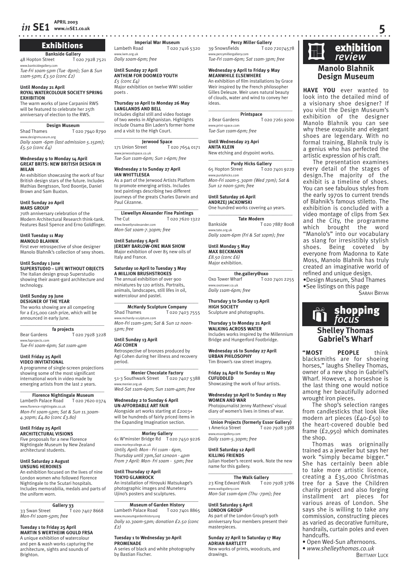# Exhibitions

**Bankside Gallery**<br>Street T 020 7928 7521 48 Hopton Street idegallery.con

*Tue-Fri 10am-5pm (Tue -8pm); San & Sun 11am-5pm; £3.50 (conc £2)*

#### **Until Monday 21 April ROYAL WATERCOLOUR SOCIETY SPRING EXHIBITION**

The warm works of Jane Carpanini RWS will be featured to celebrate her 25th anniversary of election to the RWS.

# \_\_\_\_\_\_\_\_\_\_\_\_\_\_\_\_\_\_\_\_\_\_\_\_\_\_\_\_\_\_\_\_\_\_\_

**Design Museum**<br>Shad Thames To<sub>2</sub> T 020 7940 8790 www.designmuseum.org *Daily 10am -6pm (last admission 5.15pm);* 

*£5.50 (conc £4)*

#### **Wednesday 9 to Monday 14 April GREAT BRITS: NEW BRITISH DESIGN IN MILAN**

An exhibition showcasing the work of four British design stars of the future. Includes Mathias Bengtsson, Tord Boontje, Daniel Brown and Sam Buxton.

#### **Until Sunday 20 April**

**MARS GROUP**

70th anniversary celebration of the Modern Architectural Research think-tank. Features Basil Spence and Erno Goldfinger.

#### **Until Tuesday 11 May**

**MANOLO BLAHNIK** First ever retrospective of shoe designer Manolo Blahník's collection of sexy shoes.

#### **Until Sunday 1 June SUPERSTUDIO – LIFE WITHOUT OBJECTS**

The Italian design group Superstudio showing their avant-gard architecture and technology.

#### **Until Sunday 29 June**

**DESIGNER OF THE YEAR** The works showing are all competing for a £25,000 cash prize, which will be announced in early June.

#### $\overline{\phantom{a}}$  , and the set of the set of the set of the set of the set of the set of the set of the set of the set of the set of the set of the set of the set of the set of the set of the set of the set of the set of the s **fa projects**

Bear Gardens T 020 7928 3228 www.faprojects.com *Tue-Fri 10am-6pm; Sat 11am-4pm*

#### **Until Friday 25 April VIDEO INVITATIONAL**

A programme of single-screen projections showing some of the most significant international work in video made by emerging artists from the last 2 years.

# $\overline{\phantom{a}}$  , and the set of the set of the set of the set of the set of the set of the set of the set of the set of the set of the set of the set of the set of the set of the set of the set of the set of the set of the s

**Florence Nightingale Museum**<br>eth Palace Road T 020 7620 0374 Lambeth Palace Road www.florence-nightingale.co.uk *Mon-Fri 10am-5pm; Sat & Sun 11.30am-4.30pm; £4.80 (conc £3.80)* 

#### **Until Friday 25 April**

**ARCHITECTURAL VISIONS** Five proposals for a new Florence Nightingale Museum by New Zealand architectural students.

#### **Until Saturday 2 August UNSUNG HEROINES**

An exhibition focused on the lives of nine London women who followed Florence Nightingale to the Scutari hospitals. Includes memorabilia, medals and parts of the uniform worn.

#### **Gallery 33**

33 Swan Street T 020 7407 8668 *Mon-Fri 10am-5pm; free*

\_\_\_\_\_\_\_\_\_\_\_\_\_\_\_\_\_\_\_\_\_\_\_\_\_\_\_\_\_\_\_\_\_\_\_

#### **Tuesday 1 to Friday 25 April MARTIN S WERTHEIM GOULD FRSA**

A unique exhibition of watercolour and pen & wash works capturing the architecture, sights and sounds of Brighton.

**www.***in***SE1.co.uk 5**

**Imperial War Museum**<br>**I** G2O<sub>7</sub> T 020 7416 5320 www.iwm.org.uk *Daily 10am-6pm; free* 

#### **Until Sunday 27 April ANTHEM FOR DOOMED YOUTH** *£5 (conc £4)*

Major exhibition on twelve WWI soldier poets .

#### **Thursday 10 April to Monday 26 May LANGLANDS AND BELL**

Includes digital still and video footage of two weeks in Afghanistan. Highlights include Osama Bin Laden's former home and a visit to the High Court.

 $\_$ 

# **Jerwood Space**<br>171 Union Street To

181.<br>T 020 7654 0171 www.jerwoodspace.co.uk *Tue-Sun 11am-6pm; Sun 1-6pm; free*

#### **Wednesday 2 to Sunday 27 April IAN WHITTLESEA**

As a part of the Jerwood Artists Platform to promote emerging artists. Includes text paintings describing two different journeys of the greats Charles Darwin and Paul Cézanne.

#### \_\_\_\_\_\_\_\_\_\_\_\_\_\_\_\_\_\_\_\_\_\_\_\_\_\_\_\_\_\_\_\_\_\_\_ **Llewellyn Alexander Fine Paintings**

The Cut T 020 7620 1322 www.llewellynalexander.com *Mon-Sat 10am-7.30pm; free*

#### **Until Saturday 5 April**

**JEREMY BARLOW-ONE MAN SHOW** Major exhibition of over 85 new oils of Italy and France.

#### **Saturday 10 April to Tuesday 3 May A MILLION BRUSHSTROKES**

The annual exhibition of over 900 miniatures by 120 artists. Portraits, animals, landscapes, still lifes in oil, watercolour and pastel.  $\overline{\phantom{a}}$  , and the set of the set of the set of the set of the set of the set of the set of the set of the set of the set of the set of the set of the set of the set of the set of the set of the set of the set of the s

#### **McHardy Sculpture Company**

Shad Thames T 020 7403 7555 www.mchardy-sculpture.com *Mon-Fri 11am-5pm; Sat & Sun 12 noon-5pm; free*

#### **Until Sunday 13 April**

**AGI COHEN** Retrospective of bronzes produced by Agi Cohen during her illness and recovery period.

#### $\overline{\phantom{a}}$  , and the set of the set of the set of the set of the set of the set of the set of the set of the set of the set of the set of the set of the set of the set of the set of the set of the set of the set of the s **Menier Chocolate Factory** 51-3 Southwark Street T 020 7407 5388 nier.org.uk

*Wed-Sat 11am-6pm; Sun 11am-4pm; free*

#### **Wednesday 2 to Sunday 6 April UN-AFFORDABLE ART FAIR** Alongside art works starting at £2003+

will be hundreds of fairly priced items in the Expanding Imagination section. \_\_\_\_\_\_\_\_\_\_\_\_\_\_\_\_\_\_\_\_\_\_\_\_\_\_\_\_\_\_\_\_\_\_\_

# **Morley Gallery**<br>61 W'minster Bridge Rd T 020 7450 9226

www.morleycollege.ac.uk *Until5 April: Mon - Fri 11am - 6pm, Thursday until 7pm,Sat 12noon - 4pm From 7 April: Mon- Fri 10am - 5pm; free*

#### **Until Thursday 17 April TOKYO GLAMROCK** An installation of Hiroyuki Matsukage's

photographic images and Muneteru Ujino's posters and sculptures. \_\_\_\_\_\_\_\_\_\_\_\_\_\_\_\_\_\_\_\_\_\_\_\_\_\_\_\_\_\_\_\_\_\_\_

#### **Museum of Garden History**

Lambeth Palace Road T 020 7401 8865 www.museumgardenhistory.org *Daily 10.30am-5pm; donation £2.50 (conc £2)*

#### **Tuesday 1 to Wednesday 30 April PROMENADE**

A series of black and white photography by Bastian Fischer.

**Percy Miller Gallery**<br>39 Snowsfields T 020 T 020 72074578 *-*<br>ww.percymillergallery.con *Tue-Fri 11am-6pm; Sat 11am-3pm; free*

#### **Wednesday 9 April to Friday 9 May MEANWHILE ELSEWHERE**

An exhibition of film installations by Grace Weir inspired by the French philosopher Gilles Deleuze. Weir uses natural beauty of clouds, water and wind to convey her ideas.

# $\overline{\phantom{a}}$  , and the set of the set of the set of the set of the set of the set of the set of the set of the set of the set of the set of the set of the set of the set of the set of the set of the set of the set of the s

**Printspace**<br>2 Bear Gardens T --<br>T 020 7261 9200 www.print-space.com *Tue-Sun 11am-6pm; free*

#### **Until Wednesday 23 Apri**

**ANITA KLEIN** New etching and drypoint works.

#### \_\_\_\_\_\_\_\_\_\_\_\_\_\_\_\_\_\_\_\_\_\_\_\_\_\_\_\_\_\_\_\_\_\_\_

**Purdy Hicks Gallery**<br>**T** 020 7401 9229 65 Hopton Street www.purdyhicks.com

*Mon-Fri 10am-5.30pm (Wed 7pm); Sat & Sun 12 noon-5pm; free*

#### **Until Saturday 26 April**

**ANDRZEJ JACKOWSKI** One hundred works covering 40 years.

\_\_\_\_\_\_\_\_\_\_\_\_\_\_\_\_\_\_\_\_\_\_\_\_\_\_\_\_\_\_\_\_\_\_\_ **Tate Modern** Bankside T 020 7887 8008 www.tate.org.uk *Daily 10am-6pm (Fri & Sat 10pm); free*

**Until Monday 5 May MAX BECKMANN** *£8.50 (conc £6)* Major exhibition.

# $\overline{\phantom{a}}$  , and the set of the set of the set of the set of the set of the set of the set of the set of the set of the set of the set of the set of the set of the set of the set of the set of the set of the set of the s

**the.gallery@oxo**<br>Oxo Tower Wharf To T 020 7401 2255 www.oxotower.co.uk *Daily 11am-6pm; free*

**Thursday 3 to Sunday 13 April HIGH SOCIETY** Sculpture and photographs.

### **Thursday 3 to Monday 21 April**

**WALKING ACROSS WATER** Includes works inspired by the Millennium Bridge and Hungerford Footbridge.

**Shelley Thomas Gabriel's Wharf "MOST PEOPLE** think blacksmiths are for shoeing horses," laughs Shelley Thomas, owner of a new shop in Gabriel's Wharf. However, a horseshoe is the last thing one would notice among her beautifully adorned

**Fig.** shopping

SARAH BRYAN

**Manolo Blahnik Design Museum HAVE YOU** ever wanted to look into the detailed mind of a visionary shoe designer? If you visit the Design Museum's exhibition of the designer Manolo Blahnik you can see why these exquisite and elegant shoes are legendary. With no formal training, Blahnik truly is a genius who has perfected the artistic expression of his craft. The presentation examines every detail of the stages of design.The majority of the exhibit is a timeline of shoes. You can see fabulous styles from the early 1970s to current trends of Blahnik's famous stiletto. The exhibition is concluded with a video montage of clips from Sex and the City, the programme which brought the word "Manolo's" into our vocabulary as slang for irresistibly stylish shoes. Being coveted by everyone from Madonna to Kate Moss, Manolo Blahnik has truly created an imaginative world of refined and unique design. •Design Museum, Shad Thames •See listings on this page

**Exhibition**<br>*review* 

The shop's selection ranges from candlesticks that look like modern art pieces (£40-£50) to the heart-covered double bed frame (£2,950) which dominates

Thomas was origninally trained as a jeweller but says her work "simply became bigger." She has certainly been able to take more artistic licence, creating a £35,000 Christmas tree for a Save the Children charity project and also forging installment art pieces for various areas of London. She says she is willing to take any commission, constructing pieces as varied as decorative furniture, handrails, curtain poles and even

wrought iron pieces.

the shop.

handcuffs.

• Open Wed-Sun afternoons. • *www.shelleythomas.co.uk*

**BRITTANY LUCK** 

#### **Wednesday 16 to Sunday 27 April URBAN PHILOSOPHY** Tim Brown's raw street imagery.

**Friday 24 April to Sunday 11 May CUFUDDLED** Showcasing the work of four artists.

#### **Wednesday 30 April to Sunday 11 May WOMEN AND WAR**

Photojournalist Jenny Matthews' visual diary of women's lives in times of war.

 $\overline{\phantom{a}}$  , and the set of the set of the set of the set of the set of the set of the set of the set of the set of the set of the set of the set of the set of the set of the set of the set of the set of the set of the s **Union Projects (formerly Essor Gallery)** 1 America Street T 020 7928 3388 www.essorgallery.com

*Daily 11am-5.30pm; free*

#### **Until Saturday 12 April KILLING FRIENDS**

Julian Hoeber's recent work. Note the new name for this gallery.

#### $\overline{\phantom{a}}$  , and the set of the set of the set of the set of the set of the set of the set of the set of the set of the set of the set of the set of the set of the set of the set of the set of the set of the set of the s **The Walk Gallery**

23 King Edward Walk T 020 7928 3786 www.walkgallery.com *Mon-Sat 11am-6pm (Thu -7pm); free*

#### **Until Saturday 5 April**

**ADRIAN BARTLETT**

drawings.

**LONDON GROUP** As part of the London Group's 90th anniversary four members present their masterpieces.

**Sunday 27 April to Saturday 17 May**

New works of prints, woodcuts, and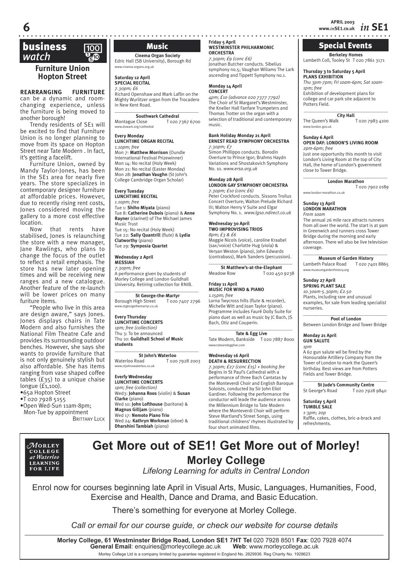**Berkeley Homes** Lambeth Coll, Tooley St T 020 7861 3171

Special Events

*Thu 3pm-7pm; Fri 10am-6pm; Sat 10am-*

**\_\_\_\_\_\_\_\_\_\_\_\_\_\_\_\_\_\_\_\_\_\_\_\_\_\_\_\_\_\_\_\_\_\_\_**

**OPEN DAY: LONDON'S LIVING ROOM**

Just one opportunity this month to visit London's Living Room at the top of City Hall, the home of London's government

\_\_\_\_\_\_\_\_\_\_\_\_\_\_\_\_\_\_\_\_\_\_\_\_\_\_\_\_\_\_\_\_\_\_\_ **London Marathon**

**City Hall**<br>lk T 020 7983 4100

T 020 7902 0189

Exhibition of development plans for college and car park site adjacent to

**Thursday 3 to Saturday 5 April PLANS EXHIBITION**

*1pm; free*

Potters Field.

The Queen's Walk www.london.gov.uk **Sunday 6 April**

*2pm-6pm; free*

close to Tower Bridge.

www.london-marathon.co.uk

# business  *watch* \$

### **Furniture Union Hopton Street**

**REARRANGING FURNITURE** can be a dynamic and roomchanging experience, unless the furniture is being moved to another borough!

Trendy residents of SE1 will be excited to find that Furniture Union is no longer planning to move from its space on Hopton Street near Tate Modern . In fact, it's getting a facelift.

Furniture Union, owned by Mandy Taylor-Jones, has been in the SE1 area for nearly five years. The store specializes in contemporary designer furniture at affordable prices. However, due to recently rising rent costs, Jones considered moving the gallery to a more cost effective location.

Now that rents have stabilised, Jones is relaunching the store with a new manager, Jane Rawlings, who plans to change the focus of the outlet to reflect a retail emphasis. The store has new later opening times and will be receiving new ranges and a new catalogue. Another feature of the re-launch will be lower prices on many furiture items.

"People who live in this area are design aware," says Jones. Jones displays chairs in Tate Modern and also furnishes the National Film Theatre Cafe and provides its surrounding outdoor benches. However, she says she wants to provide furniture that is not only genuinely stylish but also affordable. She has items ranging from vase shaped coffee tables (£35) to a unique chaise longue (£1,100).

•65a Hopton Street

•T 020 7928 5155

•Open Wed-Sun 11am-8pm; Mon-Tue by appointment **BRITTANY LUCK** 

# Music

**Cinema Organ Society** Edric Hall (SB University), Borough Rd www.cinema-organs.org.uk

**Saturday 12 April SPECIAL RECITAL** *7.30pm; £6*

Richard Openshaw and Mark Laflin on the Mighty Wurlitzer organ from the Trocadero in New Kent Road.

#### \_\_\_\_\_*\_\_\_\_\_\_\_\_\_\_\_\_\_\_\_\_\_\_\_\_\_\_\_\_\_\_\_\_\_\_* **Southwark Cathedral**<br>
Montague Close T 0207

T 020 7367 6700 www.dswark.org/cathedral

#### **Every Monday LUNCHTIME ORGAN RECITAL** *1.10pm; free*

Mon 7: **Matthew Morrison** (Oundle International Festival Prizewinner) Mon 14: No recital (Holy Week) Mon 21: No recital (Easter Monday) Mon 28: **Jonathan Vaughn** (St John's College Cambridge Organ Scholar)

#### **Every Tuesday**

**LUNCHTIME RECITAL** *1.10pm; free* Tue 1: **Shiho Miyata** (piano) Tue 8: **Catherine Dubois** (piano) & **Anne Rayner** (clarinet) of The Michael James Music Trust Tue 15: No recital (Holy Week) Tue 22: **Sally Quantrill** (flute) & **Lydia Clatworthy** (piano) Tue 29: **Symposia Quartet**

**Wednesday 2 April MESSIAH**

*7.30pm; free* A performance given by students of Morley College and London Guildhall University. Retiring collection for RNIB.

\_\_\_\_\_*\_\_\_\_\_\_\_\_\_\_\_\_\_\_\_\_\_\_\_\_\_\_\_\_\_\_\_\_\_\_* **St George-the-Martyr**<br>High Street T 020 7407 2796 Borough High Street www.stgeorgethemartyr.co.uk

#### **Every Thursday LUNCHTIME CONCERTS** *1pm; free (collection)* Thu 3: To be announced Thu 10: **Guildhall School of Music students**

\_\_\_\_\_*\_\_\_\_\_\_\_\_\_\_\_\_\_\_\_\_\_\_\_\_\_\_\_\_\_\_\_\_\_\_* **St John's Waterloo**<br>Waterloo Road To2c T 020 7928 2003 www.stjohnswaterloo.co.uk

#### **Everfy Wednesday LUNCHTIME CONCERTS** *1pm; free (collection)* Wed3: **Johanna Roos** (violin) & **Susan Clarke** (piano) Wed 10: **John Lofthouse** (baritone) & **Magnus Gilljam** (piano) Wed 17: **Nemoto Piano Trio**  Wed 24: **Kathryn Workman** (oboe) & **Dharshini Tambiah** (piano)

#### **Friday 5 April WESTMINSTER PHILHARMONIC ORCHESTRA**

*7.30pm; £9 (conc £6)* Jonathan Butcher conducts. Sibelius symphony no.5; Vaughan Wiliams The Lark ascending and Tippett Symphony no.1.

#### **Monday 14 April CONCERT**

*4pm; £10 (advance 020 7377 7792)* The Choir of St Margaret's Westminster, the Kneller Hall Fanfare Trumpeters and Thomas Trotter on the organ with a selection of traditional and contemporary music.

#### **Bank Holiday Monday 21 April ERNEST READ SYMPHONY ORCHESTRA** *7.30pm; £7*

Simon Phillippo conducts. Borodin Overture to Prince Igor; Brahms Haydn Variations and Shostakovich Symphony No. 10. *www.erso.org.uk* 

#### **Monday 28 April LONDON GAY SYMPHONY ORCHESTRA** *7.30pm; £10 (conc £6)*

Peter Crockford conducts. Sissons Troilus Concert Overture; Walton Prelude Richard III; Walton Henry V Suite and Elgar Symphony No. 1. *www.lgso.ndirect.co.uk* 

#### **Wednesday 30 April TWO IMPROVISING TRIOS** *8pm; £3 & £6* Maggie Nicols (voice), caroline Kraabel (sax/voice) Charlotte Hug (viola) &

Veryan Weston (piano), John Edwards (contrabass), Mark Sanders (percussion). \_\_\_\_\_*\_\_\_\_\_\_\_\_\_\_\_\_\_\_\_\_\_\_\_\_\_\_\_\_\_\_\_\_\_\_*

**St Matthew's-at-the-Elephant** Meadow Row T 020 450 9238

#### **Friday 11 April MUSIC FOR WIND & PIANO** *1.15pm; free*

Lorna Twycross hills (flute & recorder), Michelle Witt and Joan Taylor (piano). Programme includes Fauré Dolly Suite for piano duet as well as music by JC Bach, JS Bach, Otiz and Couperin. \_\_\_\_\_*\_\_\_\_\_\_\_\_\_\_\_\_\_\_\_\_\_\_\_\_\_\_\_\_\_\_\_\_\_\_*

Tate & Egg Live<br>Bankside T 020 7887 8000 Tate Modern, Bankside www.tateandegglive.com

#### **Wednesday 16 April**

**DEATH & RESURRECTION** *7.30pm; £27 (conc £15) + booking fee* Begins in St Paul's Cathedral with a performance of three Bach Cantatas by the Monteverdi Choir and English Baroque Soloists, conducted by Sir John Eliot Gardiner. Following the performance the conductor will leade the audience across the Millennium Bridge to Tate Modern where the Monteverdi Choir will perform Steve Martland's Street Songs, using traditional childrens' rhymes illustrated by four short animated films.

**Sunday 13 April LONDON MARATHON** *From 10am*  The annual 26 mile race attracts runners from all over the world. The start is at 9am

in Greenwich and runners cross Tower Bridge during the morning and early afternoon. There wil also be live television coverage.  $\_$ 

#### **Museum of Garden History**<br>h Palace Road T 020 7401 8865 Lambeth Palace Road www.museumgardenhistory.org

#### **Sunday 27 April SPRING PLANT SALE**

*10.30am-5.30pm; £2.50* Plants, including rare and unusual examples, for sale from leading specialist nurseries. \_\_\_\_\_*\_\_\_\_\_\_\_\_\_\_\_\_\_\_\_\_\_\_\_\_\_\_\_\_\_\_\_\_\_\_*

**Pool of London** Between London Bridge and Tower Bridge

#### **Monday 21 April GUN SALUTE** *1pm*

 $\overline{A}$  62 gun salute wil be fired by the Honourable Artillery Company from the Tower of London to mark the Queen's birthday. Best views are from Potters Fields and Tower Bridge. \_\_\_\_\_*\_\_\_\_\_\_\_\_\_\_\_\_\_\_\_\_\_\_\_\_\_\_\_\_\_\_\_\_\_\_*

**St Jude's Community Centre** St George's Road T 020 7928 9840

#### **Saturday 5 April TUMBLE SALE**

*1-3pm; 20p* Raffle, cakes, clothes, bric-a-brack and refreshments.



# **Get More out of SE1! Get More out of Morley! Morley College**

*Lifelong Learning for adults in Central London*

Enrol now for courses beginning late April in Visual Arts, Music, Languages, Humanities, Food, Exercise and Health, Dance and Drama, and Basic Education.

There's something for everyone at Morley College.

*Call or email for our course guide, or check our website for course details*

**Morley College, 61 Westminster Bridge Road, London SE1 7HT Tel** 020 7928 8501 **Fax**: 020 7928 4074 **General Email**: enquiries@morleycollege.ac.uk **Web**: www.morleycollege.ac.uk Morley College Ltd is a company limited by guarantee registered in England No. 2629936. Reg Charity No. 1928623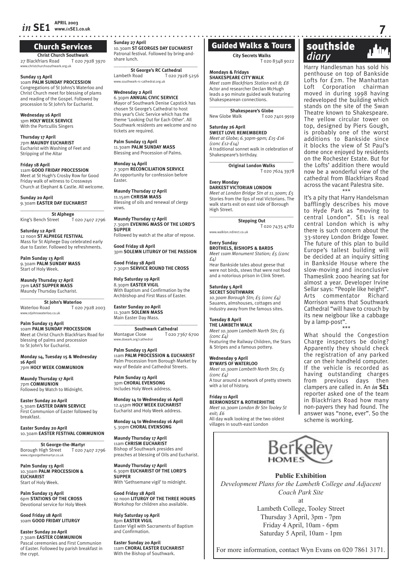## *in* **SE1 APRIL 2003 www.***in***SE1.co.uk 7**

### Church Services

**Christ Church Southwark** 27 Blackfriars Road T 020 7928 3970 www.christchurchsouthwark.org.uk

**Sunday 13 April** 10am **PALM SUNDAY PROCESSION** Congregations of St Johns's Waterloo and Christ Church meet for blessing of plams and reading of the Gospel. Followed by procession to St John's for Eucharist.

**Wednesday 16 April** 1pm **HOLY WEEK SERVICE** With the Portcullis Singers

**Thursday 17 April** 7pm **MAUNDY EUCHARIST** Eucharist with Washing of Feet and Stripping of the Altar

**Friday 18 April** 11am **GOOD FRIDAY PROCESSION** Meet at St Hugh's Crosby Row for Good Friday walk of witness to Crossways Church at Elephant & Castle. All welcome.

**Sunday 20 April** 9.30am **EASTER DAY EUCHARIST** \_\_\_\_\_*\_\_\_\_\_\_\_\_\_\_\_\_\_\_\_\_\_\_\_\_\_\_\_\_\_\_\_\_\_\_*

**St Alphege**<br>reet T 020 7407 2796 King's Bench Street

**Saturday 12 April** 12 noon **ST ALPHEGE FESTIVAL** Mass for St Alphege Day celebrated early due to Easter. Followed by refreshments.

**Palm Sunday 13 April** 9.30am **PALM SUNDAY MASS** Start of Holy Week.

**Maundy Thursday 17 April** 7pm **LAST SUPPER MASS** Maundy Thursday Eucharist.

*\_\_\_\_\_\_\_\_\_\_\_\_\_\_\_\_\_\_\_\_\_\_\_\_\_\_\_\_\_\_\_\_\_\_\_*  **St John's Waterloo**<br>**Waterloo Road T** 020 T 020 7928 2003 www.stjohnswaterloo.co.uk

**Palm Sunday 13 April** 10am **PALM SUNDAY PROCESSION** Meet at Christ Church Blackfriars Road for blessing of palms and procession to St John's for Eucharist.

**Monday 14, Tuesday 15 & Wednesday 16 April**  7pm **HOLY WEEK COMMUNION**

**Maundy Thursday 17 April**  7pm **COMMUNION** Followed by Watch to Midnight.

**Easter Sunday 20 April** 5.30am **EASTER DAWN SERVICE** First Communion of Easter followed by breakfast.

**Easter Sunday 20 April** 10.30am **EASTER FESTIVAL COMMUNION** \_\_\_\_\_*\_\_\_\_\_\_\_\_\_\_\_\_\_\_\_\_\_\_\_\_\_\_\_\_\_\_\_\_\_\_*

**St George-the-Martyr** Borough High Street T 020 7407 2796 www.stgeorgethe

**Palm Sunday 13 April** 10.30am **PALM PROCESSION & EUCHARIST** Start of Holy Week.

**Palm Sunday 13 April** 6pm **STATIONS OF THE CROSS** Devotional service for Holy Week

**Good Friday 18 April** 10am **GOOD FRIDAY LITURGY**

**Easter Sunday 20 April** 7.30am **EASTER COMMUNION** Pascal ceremonies and First Communion of Easter. Followed by parish breakfast in the crypt.

**Sunday 27 April** 10.30am **ST GEORGES DAY EUCHARIST** Patronal festival. Followed by bring-andshare lunch.

\_\_\_\_\_*\_\_\_\_\_\_\_\_\_\_\_\_\_\_\_\_\_\_\_\_\_\_\_\_\_\_\_\_\_\_* **St George's RC Cathedral** Lambeth Road T 020 7928 5256 www.southwark-rc-cathedral.org.uk

**Wednesday 2 April** 6.30pm **ANNUAL CIVIC SERVICE** Mayor of Southwark Denise Capstick has chosen St George's Cathedral to host this year's Civic Service which has the theme 'Looking Out for Each Other'. All Southwark residents are welcome and no tickets are required.

**Palm Sunday 13 April** 11.30am **PALM SUNDAY MASS** Blessing and Procession of Palms.

**Monday 14 April** 7.30pm **RECONCILIATION SERVICE** An opportunity for confession before Easter.

**Maundy Thursday 17 April** 11.15am **CHRISM MASS** Blessing of oils and renewal of clergy vows.

**Maundy Thursday 17 April** 7.30pm **EVENING MASS OF THE LORD'S SUPPER** Followed by watch at the altar of repose.

**Good Friday 18 April**

3pm **SOLEMN LITURGY OF THE PASSION**

**Good Friday 18 April** 7.30pm **SERVICE ROUND THE CROSS**

**Holy Saturday 19 April** 8.30pm **EASTER VIGIL** With Baptism and Confirmation by the Archbishop and First Mass of Easter.

**Easter Sunday 20 April** 11.30am **SOLEMN MASS** Main Easter Day Mass.

\_\_\_\_\_*\_\_\_\_\_\_\_\_\_\_\_\_\_\_\_\_\_\_\_\_\_\_\_\_\_\_\_\_\_\_* **Southwark Cathedral** Montague Close T 020 7367 6700 www.dswark.org/cathedral

**Palm Sunday 13 April** 11am **PALM PROCESSION & EUCHARIST** Palm Procession from Borough Market by way of Bedale and Cathedral Streets.

**Palm Sunday 13 April** 3pm **CHORAL EVENSONG** Includes Holy Week address.

**Monday 14 to Wednesday 16 April** 12.45pm **HOLY WEEK EUCHARIST** Eucharist and Holy Week address.

**Monday 14 to Wednesday 16 April** 5.30pm **CHORAL EVENSONG**

**Maundy Thursday 17 April** 11am **CHRISM EUCHARIST** Bishop of Southwark presides and preaches at blessing of Oils and Eucharist.

**Maundy Thursday 17 April** 6.30pm **EUCHARIST OF THE LORD'S SUPPER** With 'Gethsemane vigil' to midnight.

**Good Friday 18 April** 12 noon **LITURGY OF THE THREE HOURS** Workshop for children also available.

**Holy Saturday 19 April** 8pm **EASTER VIGIL** Easter Vigil with Sacraments of Baptism and Confirmation.

**Easter Sunday 20 April** 11am **CHORAL EASTER EUCHARIST** With the Bishop of Southwark.

# Guided Walks & Tours

**City Secrets Walks**

T 020 8348 9022

**Mondays & Fridays SHAKESPEARE CITY WALK** *Meet 11am Blackfriars Station exit 8; £8* Actor and researcher Declan McHugh leads a 90 minute guided walk featuring Shakespearean connections.

\_\_\_\_\_\_\_\_\_\_\_\_\_\_\_\_\_\_\_\_\_\_\_\_\_\_\_\_\_\_\_\_\_\_\_ **Shakespeare's Globe**<br>New Globe Walk Tozo T 020 7401 9919

#### **Saturday 26 April**

**SWEET LOVE REMEMBERED** *Meet at Globe; 6.30pm-9pm; £15-£16 (conc £12-£14)*

A traditional sonnet walk in celebration of Shakespeare's birthday.  $\overline{\phantom{a}}$  , and the set of the set of the set of the set of the set of the set of the set of the set of the set of the set of the set of the set of the set of the set of the set of the set of the set of the set of the s

**Original London Walks** T 020 7624 3978

# **Every Monday**

**DARKEST VICTORIAN LONDON** *Meet at London Bridge Stn at 11.30am; £5* Stories from the lips of real Victorians. The walk starts exit on east side of Borough High Street.

 $\overline{\phantom{a}}$  , and the set of the set of the set of the set of the set of the set of the set of the set of the set of the set of the set of the set of the set of the set of the set of the set of the set of the set of the s **Stepping Out** T 020 7435 4782

www.walklon.ndirect.co.uk

**Every Sunday BROTHELS, BISHOPS & BARDS** *Meet 11am Monument Station; £5 (conc £4)* Hear Bankside tales about geese that

were not birds, stews that were not food and a notorious prison in Clink Street.

#### **Saturday 5 April SECRET SOUTHWARK**

*10.30am Borough Stn; £5 (conc £4)* Sauares, almshouses, cottages and industry away from the famous sites.

#### **Tuesday 8 April**

**THE LAMBETH WALK** *Meet 10.30am Lambeth North Stn; £5 (conc £4)* Featuring the Railway Children, the Stars & Stripes and a famous pottery.

#### **Wednesday 9 April BYWAYS OF WATERLOO**

*Meet 10.30am Lambeth North Stn; £5*   $(cone f_A)$ A tour around a network of pretty streets with a lot of history.

**Friday 11 April BERMONDSEY & ROTHERHITHE** *Meet 10.30am London Br Stn Tooley St exit; £6* All day walk looking at the two oldest villages in south-east London



Harry Handlesman has sold his penthouse on top of Bankside Lofts for £2m. The Manhattan Loft Corporation chairman moved in during 1998 having redeveloped the building which stands on the site of the Swan Theatre known to Shakespeare. The yellow circular tower on top, designed by Piers Gough, is probably one of the worst additions to Bankside since it blocks the view of St Paul's dome once enjoyed by residents on the Rochester Estate. But for the Lofts' addition there would now be a wonderful view of the cathedral from Blackfriars Road across the vacant Palestra site.

\*\*\*

It's a pity that Harry Handelsman bafflingly describes his move to Hyde Park as "moving to central London". SE1 is real central London which is why there is such concern about the 33-storey London Bridge Tower. The future of this plan to build Europe's tallest building will be decided at an inquiry sitting in Bankside House where the slow-moving and inconclusive Thameslink 2000 hearing sat for almost a year. Developer Irvine Sellar says: "People like height". Arts commentator Richard Morrison warns that Southwark Cathedral "will have to crouch by its new neigbour like a cabbage by a lamp-post".

\*\*\* What should the Congestion Charge inspectors be doing? Apparently they should check the registration of any parked car on their handheld computer. If the vehicle is recorded as having outstanding charges from previous days then clampers are called in. An *in* **SE1**  reporter asked one of the team in Blackfriars Road how many non-payers they had found. The answer was "none, ever". So the scheme is working.



### **Public Exhibition**

*Development Plans for the Lambeth College and Adjacent Coach Park Site* at

> Lambeth College, Tooley Street Thursday 3 April, 3pm - 7pm Friday 4 April, 10am - 6pm Saturday 5 April, 10am - 1pm

For more information, contact Wyn Evans on 020 7861 3171.